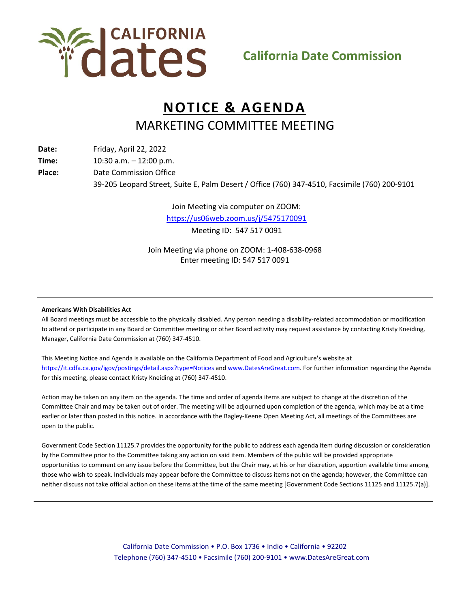

## **NOTICE & AGENDA** MARKETING COMMITTEE MEETING

**Date:** Friday, April 22, 2022

**Time:** 10:30 a.m. – 12:00 p.m.

**Place:** Date Commission Office

39-205 Leopard Street, Suite E, Palm Desert / Office (760) 347-4510, Facsimile (760) 200-9101

Join Meeting via computer on ZOOM: <https://us06web.zoom.us/j/5475170091> Meeting ID: 547 517 0091

Join Meeting via phone on ZOOM: 1-408-638-0968 Enter meeting ID: 547 517 0091

## **Americans With Disabilities Act**

All Board meetings must be accessible to the physically disabled. Any person needing a disability-related accommodation or modification to attend or participate in any Board or Committee meeting or other Board activity may request assistance by contacting Kristy Kneiding, Manager, California Date Commission at (760) 347-4510.

This Meeting Notice and Agenda is available on the California Department of Food and Agriculture's website at <https://it.cdfa.ca.gov/igov/postings/detail.aspx?type=Notices> an[d www.DatesAreGreat.com.](http://www.datesaregreat.com/) For further information regarding the Agenda for this meeting, please contact Kristy Kneiding at (760) 347-4510.

Action may be taken on any item on the agenda. The time and order of agenda items are subject to change at the discretion of the Committee Chair and may be taken out of order. The meeting will be adjourned upon completion of the agenda, which may be at a time earlier or later than posted in this notice. In accordance with the Bagley-Keene Open Meeting Act, all meetings of the Committees are open to the public.

Government Code Section 11125.7 provides the opportunity for the public to address each agenda item during discussion or consideration by the Committee prior to the Committee taking any action on said item. Members of the public will be provided appropriate opportunities to comment on any issue before the Committee, but the Chair may, at his or her discretion, apportion available time among those who wish to speak. Individuals may appear before the Committee to discuss items not on the agenda; however, the Committee can neither discuss not take official action on these items at the time of the same meeting [Government Code Sections 11125 and 11125.7(a)].

> California Date Commission • P.O. Box 1736 • Indio • California • 92202 Telephone (760) 347-4510 • Facsimile (760) 200-9101 • www.DatesAreGreat.com